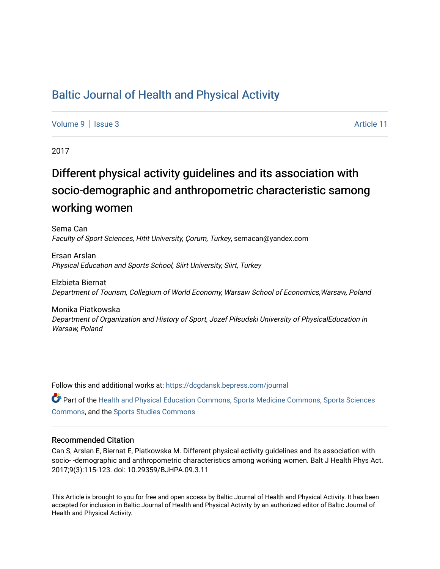## [Baltic Journal of Health and Physical Activity](https://dcgdansk.bepress.com/journal)

[Volume 9](https://dcgdansk.bepress.com/journal/vol9) | [Issue 3](https://dcgdansk.bepress.com/journal/vol9/iss3) Article 11

2017

# Different physical activity guidelines and its association with socio-demographic and anthropometric characteristic samong working women

Sema Can Faculty of Sport Sciences, Hitit University, Çorum, Turkey, semacan@yandex.com

Ersan Arslan Physical Education and Sports School, Siirt University, Siirt, Turkey

Elzbieta Biernat Department of Tourism, Collegium of World Economy, Warsaw School of Economics,Warsaw, Poland

Monika Piatkowska Department of Organization and History of Sport, Jozef Piłsudski University of PhysicalEducation in Warsaw, Poland

Follow this and additional works at: [https://dcgdansk.bepress.com/journal](https://dcgdansk.bepress.com/journal?utm_source=dcgdansk.bepress.com%2Fjournal%2Fvol9%2Fiss3%2F11&utm_medium=PDF&utm_campaign=PDFCoverPages)

Part of the [Health and Physical Education Commons](http://network.bepress.com/hgg/discipline/1327?utm_source=dcgdansk.bepress.com%2Fjournal%2Fvol9%2Fiss3%2F11&utm_medium=PDF&utm_campaign=PDFCoverPages), [Sports Medicine Commons,](http://network.bepress.com/hgg/discipline/1331?utm_source=dcgdansk.bepress.com%2Fjournal%2Fvol9%2Fiss3%2F11&utm_medium=PDF&utm_campaign=PDFCoverPages) [Sports Sciences](http://network.bepress.com/hgg/discipline/759?utm_source=dcgdansk.bepress.com%2Fjournal%2Fvol9%2Fiss3%2F11&utm_medium=PDF&utm_campaign=PDFCoverPages) [Commons](http://network.bepress.com/hgg/discipline/759?utm_source=dcgdansk.bepress.com%2Fjournal%2Fvol9%2Fiss3%2F11&utm_medium=PDF&utm_campaign=PDFCoverPages), and the [Sports Studies Commons](http://network.bepress.com/hgg/discipline/1198?utm_source=dcgdansk.bepress.com%2Fjournal%2Fvol9%2Fiss3%2F11&utm_medium=PDF&utm_campaign=PDFCoverPages) 

#### Recommended Citation

Can S, Arslan E, Biernat E, Piatkowska M. Different physical activity guidelines and its association with socio- -demographic and anthropometric characteristics among working women. Balt J Health Phys Act. 2017;9(3):115-123. doi: 10.29359/BJHPA.09.3.11

This Article is brought to you for free and open access by Baltic Journal of Health and Physical Activity. It has been accepted for inclusion in Baltic Journal of Health and Physical Activity by an authorized editor of Baltic Journal of Health and Physical Activity.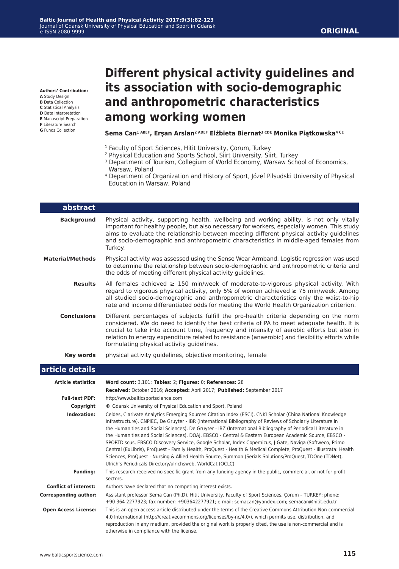#### **Authors' Contribution:**

**A** Study Design

- **B** Data Collection **C** Statistical Analysis
- **D** Data Interpretation
- **E** Manuscript Preparation
- **F** Literature Search
- **G** Funds Collection

## **Different physical activity guidelines and its association with socio-demographic and anthropometric characteristics among working women**

#### **Sema Can1 ABEF, Erşan Arslan2 ADEF Elżbieta Biernat3 CDE Monika Piątkowska4 CE**

- <sup>1</sup> Faculty of Sport Sciences, Hitit University, Çorum, Turkey
- 2 Physical Education and Sports School, Siirt University, Siirt, Turkey
- <sup>3</sup> Department of Tourism, Collegium of World Economy, Warsaw School of Economics, Warsaw, Poland
- <sup>4</sup> Department of Organization and History of Sport, Józef Piłsudski University of Physical Education in Warsaw, Poland

| abstract                  |                                                                                                                                                                                                                                                                                                                                                                                                                                  |
|---------------------------|----------------------------------------------------------------------------------------------------------------------------------------------------------------------------------------------------------------------------------------------------------------------------------------------------------------------------------------------------------------------------------------------------------------------------------|
| <b>Background</b>         | Physical activity, supporting health, wellbeing and working ability, is not only vitally<br>important for healthy people, but also necessary for workers, especially women. This study<br>aims to evaluate the relationship between meeting different physical activity guidelines<br>and socio-demographic and anthropometric characteristics in middle-aged females from<br>Turkey.                                            |
| <b>Material/Methods</b>   | Physical activity was assessed using the Sense Wear Armband. Logistic regression was used<br>to determine the relationship between socio-demographic and anthropometric criteria and<br>the odds of meeting different physical activity quidelines.                                                                                                                                                                              |
| <b>Results</b>            | All females achieved $\geq$ 150 min/week of moderate-to-vigorous physical activity. With<br>regard to vigorous physical activity, only 5% of women achieved $\geq$ 75 min/week. Among<br>all studied socio-demographic and anthropometric characteristics only the waist-to-hip<br>rate and income differentiated odds for meeting the World Health Organization criterion.                                                      |
| <b>Conclusions</b>        | Different percentages of subjects fulfill the pro-health criteria depending on the norm<br>considered. We do need to identify the best criteria of PA to meet adequate health. It is<br>crucial to take into account time, frequency and intensity of aerobic efforts but also in<br>relation to energy expenditure related to resistance (anaerobic) and flexibility efforts while<br>formulating physical activity guidelines. |
| Key words                 | physical activity guidelines, objective monitoring, female                                                                                                                                                                                                                                                                                                                                                                       |
| article details           |                                                                                                                                                                                                                                                                                                                                                                                                                                  |
| <b>Article statistics</b> | Word count: 3,101; Tables: 2; Figures: 0; References: 28<br>Beschiaal: Ostehau 2016: Assentaal: Anull 2017: Bulklichaal: Cantenshau 2017                                                                                                                                                                                                                                                                                         |

|                              | Received: October 2016; Accepted: April 2017; Published: September 2017                                                                                                                                                                                                                                                                                                                                                                                                                                                                                                                                                                                                                                                                                                                                                                                       |  |  |  |  |  |
|------------------------------|---------------------------------------------------------------------------------------------------------------------------------------------------------------------------------------------------------------------------------------------------------------------------------------------------------------------------------------------------------------------------------------------------------------------------------------------------------------------------------------------------------------------------------------------------------------------------------------------------------------------------------------------------------------------------------------------------------------------------------------------------------------------------------------------------------------------------------------------------------------|--|--|--|--|--|
| <b>Full-text PDF:</b>        | http://www.balticsportscience.com                                                                                                                                                                                                                                                                                                                                                                                                                                                                                                                                                                                                                                                                                                                                                                                                                             |  |  |  |  |  |
| Copyright                    | © Gdansk University of Physical Education and Sport, Poland                                                                                                                                                                                                                                                                                                                                                                                                                                                                                                                                                                                                                                                                                                                                                                                                   |  |  |  |  |  |
| Indexation:                  | Celdes, Clarivate Analytics Emerging Sources Citation Index (ESCI), CNKI Scholar (China National Knowledge<br>Infrastructure), CNPIEC, De Gruyter - IBR (International Bibliography of Reviews of Scholarly Literature in<br>the Humanities and Social Sciences), De Gruyter - IBZ (International Bibliography of Periodical Literature in<br>the Humanities and Social Sciences), DOAJ, EBSCO - Central & Eastern European Academic Source, EBSCO -<br>SPORTDiscus, EBSCO Discovery Service, Google Scholar, Index Copernicus, J-Gate, Naviga (Softweco, Primo<br>Central (ExLibris), ProQuest - Family Health, ProQuest - Health & Medical Complete, ProQuest - Illustrata: Health<br>Sciences, ProQuest - Nursing & Allied Health Source, Summon (Serials Solutions/ProQuest, TDOne (TDNet),<br>Ulrich's Periodicals Directory/ulrichsweb, WorldCat (OCLC) |  |  |  |  |  |
| <b>Funding:</b>              | This research received no specific grant from any funding agency in the public, commercial, or not-for-profit<br>sectors.                                                                                                                                                                                                                                                                                                                                                                                                                                                                                                                                                                                                                                                                                                                                     |  |  |  |  |  |
| <b>Conflict of interest:</b> | Authors have declared that no competing interest exists.                                                                                                                                                                                                                                                                                                                                                                                                                                                                                                                                                                                                                                                                                                                                                                                                      |  |  |  |  |  |
| <b>Corresponding author:</b> | Assistant professor Sema Can (Ph.D), Hitit University, Faculty of Sport Sciences, Corum - TURKEY; phone:<br>+90 364 2277923; fax number: +903642277921; e-mail: semacan@yandex.com; semacan@hitit.edu.tr                                                                                                                                                                                                                                                                                                                                                                                                                                                                                                                                                                                                                                                      |  |  |  |  |  |
| <b>Open Access License:</b>  | This is an open access article distributed under the terms of the Creative Commons Attribution-Non-commercial<br>4.0 International (http://creativecommons.org/licenses/by-nc/4.0/), which permits use, distribution, and<br>reproduction in any medium, provided the original work is properly cited, the use is non-commercial and is<br>otherwise in compliance with the license.                                                                                                                                                                                                                                                                                                                                                                                                                                                                          |  |  |  |  |  |
|                              |                                                                                                                                                                                                                                                                                                                                                                                                                                                                                                                                                                                                                                                                                                                                                                                                                                                               |  |  |  |  |  |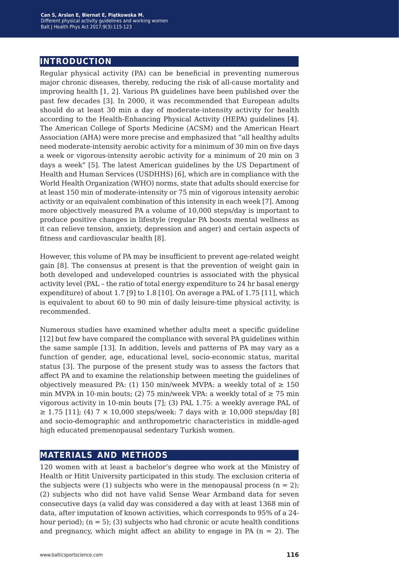### **introduction**

Regular physical activity (PA) can be beneficial in preventing numerous major chronic diseases, thereby, reducing the risk of all-cause mortality and improving health [1, 2]. Various PA guidelines have been published over the past few decades [3]. In 2000, it was recommended that European adults should do at least 30 min a day of moderate-intensity activity for health according to the Health-Enhancing Physical Activity (HEPA) guidelines [4]. The American College of Sports Medicine (ACSM) and the American Heart Association (AHA) were more precise and emphasized that "all healthy adults need moderate-intensity aerobic activity for a minimum of 30 min on five days a week or vigorous-intensity aerobic activity for a minimum of 20 min on 3 days a week" [5]. The latest American guidelines by the US Department of Health and Human Services (USDHHS) [6], which are in compliance with the World Health Organization (WHO) norms, state that adults should exercise for at least 150 min of moderate-intensity or 75 min of vigorous intensity aerobic activity or an equivalent combination of this intensity in each week [7]. Among more objectively measured PA a volume of 10,000 steps/day is important to produce positive changes in lifestyle (regular PA boosts mental wellness as it can relieve tension, anxiety, depression and anger) and certain aspects of fitness and cardiovascular health [8].

However, this volume of PA may be insufficient to prevent age-related weight gain [8]. The consensus at present is that the prevention of weight gain in both developed and undeveloped countries is associated with the physical activity level (PAL – the ratio of total energy expenditure to 24 hr basal energy expenditure) of about 1.7 [9] to 1.8 [10]. On average a PAL of 1.75 [11], which is equivalent to about 60 to 90 min of daily leisure-time physical activity, is recommended.

Numerous studies have examined whether adults meet a specific guideline [12] but few have compared the compliance with several PA guidelines within the same sample [13]. In addition, levels and patterns of PA may vary as a function of gender, age, educational level, socio-economic status, marital status [3]. The purpose of the present study was to assess the factors that affect PA and to examine the relationship between meeting the guidelines of objectively measured PA: (1) 150 min/week MVPA: a weekly total of  $\geq 150$ min MVPA in 10-min bouts; (2) 75 min/week VPA: a weekly total of  $\geq$  75 min vigorous activity in 10-min bouts [7]; (3) PAL 1.75: a weekly average PAL of  $≥ 1.75$  [11]; (4) 7 × 10,000 steps/week: 7 days with  $≥ 10,000$  steps/day [8] and socio-demographic and anthropometric characteristics in middle-aged high educated premenopausal sedentary Turkish women.

#### **materials and methods**

120 women with at least a bachelor's degree who work at the Ministry of Health or Hitit University participated in this study. The exclusion criteria of the subjects were (1) subjects who were in the menopausal process  $(n = 2)$ ; (2) subjects who did not have valid Sense Wear Armband data for seven consecutive days (a valid day was considered a day with at least 1368 min of data, after imputation of known activities, which corresponds to 95% of a 24 hour period);  $(n = 5)$ ; (3) subjects who had chronic or acute health conditions and pregnancy, which might affect an ability to engage in PA  $(n = 2)$ . The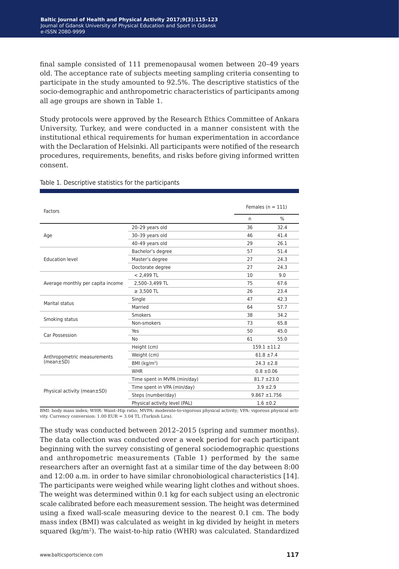final sample consisted of 111 premenopausal women between 20–49 years old. The acceptance rate of subjects meeting sampling criteria consenting to participate in the study amounted to 92.5%. The descriptive statistics of the socio-demographic and anthropometric characteristics of participants among all age groups are shown in Table 1.

Study protocols were approved by the Research Ethics Committee of Ankara University, Turkey, and were conducted in a manner consistent with the institutional ethical requirements for human experimentation in accordance with the Declaration of Helsinki. All participants were notified of the research procedures, requirements, benefits, and risks before giving informed written consent.

| Factors                           |                               | Females $(n = 111)$ |                  |  |  |
|-----------------------------------|-------------------------------|---------------------|------------------|--|--|
|                                   |                               | n                   | $\%$             |  |  |
|                                   | 20-29 years old               | 36                  | 32.4             |  |  |
| Age                               | 30-39 years old               | 46                  | 41.4             |  |  |
|                                   | 40-49 years old               | 29                  | 26.1             |  |  |
|                                   | Bachelor's degree             | 57                  | 51.4             |  |  |
| <b>Education level</b>            | Master's degree               | 27                  | 24.3             |  |  |
|                                   | Doctorate degree              | 27                  | 24.3             |  |  |
|                                   | $< 2,499$ TL                  | 10                  | 9.0              |  |  |
| Average monthly per capita income | 2,500-3,499 TL                | 75                  | 67.6             |  |  |
|                                   | $\geq$ 3,500 TL               | 26                  | 23.4             |  |  |
|                                   | Single                        | 47                  | 42.3             |  |  |
| Marital status                    | Married                       | 64                  | 57.7             |  |  |
|                                   | Smokers                       | 38                  | 34.2             |  |  |
| Smoking status                    | Non-smokers                   | 73                  | 65.8             |  |  |
|                                   | Yes                           | 50                  | 45.0             |  |  |
| Car Possession                    | No                            | 61                  | 55.0             |  |  |
|                                   | Height (cm)                   |                     | $159.1 \pm 11.2$ |  |  |
| Anthropometric measurements       | Weight (cm)                   |                     | $61.8 \pm 7.4$   |  |  |
| $(mean \pm SD)$                   | BMI $(kq/m2)$                 |                     | $24.3 \pm 2.8$   |  |  |
|                                   | <b>WHR</b>                    |                     | $0.8 \pm 0.06$   |  |  |
|                                   | Time spent in MVPA (min/day)  | $81.7 + 23.0$       |                  |  |  |
|                                   | Time spent in VPA (min/day)   |                     | $3.9 + 2.9$      |  |  |
| Physical activity (mean±SD)       | Steps (number/day)            |                     | $9.867 + 1.756$  |  |  |
|                                   | Physical activity level (PAL) |                     | $1.6 \pm 0.2$    |  |  |

#### Table 1. Descriptive statistics for the participants

BMI: body mass index; WHR: Waist–Hip ratio; MVPA: moderate-to-vigorous physical activity; VPA: vigorous physical activity. Currency conversion: 1.00 EUR = 3.04 TL (Turkish Lira).

The study was conducted between 2012–2015 (spring and summer months). The data collection was conducted over a week period for each participant beginning with the survey consisting of general sociodemographic questions and anthropometric measurements (Table 1) performed by the same researchers after an overnight fast at a similar time of the day between 8:00 and 12:00 a.m. in order to have similar chronobiological characteristics [14]. The participants were weighed while wearing light clothes and without shoes. The weight was determined within 0.1 kg for each subject using an electronic scale calibrated before each measurement session. The height was determined using a fixed wall-scale measuring device to the nearest 0.1 cm. The body mass index (BMI) was calculated as weight in kg divided by height in meters squared ( $kg/m<sup>2</sup>$ ). The waist-to-hip ratio (WHR) was calculated. Standardized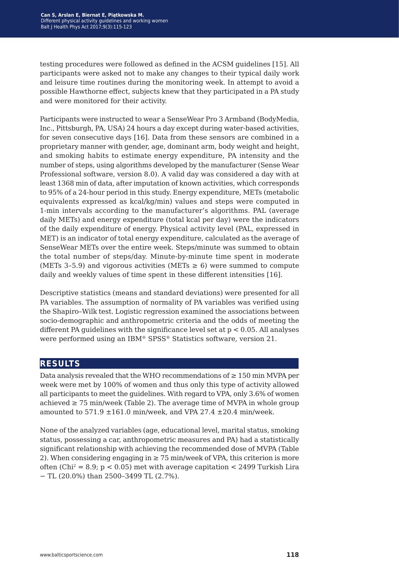testing procedures were followed as defined in the ACSM guidelines [15]. All participants were asked not to make any changes to their typical daily work and leisure time routines during the monitoring week. In attempt to avoid a possible Hawthorne effect, subjects knew that they participated in a PA study and were monitored for their activity.

Participants were instructed to wear a SenseWear Pro 3 Armband (BodyMedia, Inc., Pittsburgh, PA, USA) 24 hours a day except during water-based activities, for seven consecutive days [16]. Data from these sensors are combined in a proprietary manner with gender, age, dominant arm, body weight and height, and smoking habits to estimate energy expenditure, PA intensity and the number of steps, using algorithms developed by the manufacturer (Sense Wear Professional software, version 8.0). A valid day was considered a day with at least 1368 min of data, after imputation of known activities, which corresponds to 95% of a 24-hour period in this study. Energy expenditure, METs (metabolic equivalents expressed as kcal/kg/min) values and steps were computed in 1-min intervals according to the manufacturer's algorithms. PAL (average daily METs) and energy expenditure (total kcal per day) were the indicators of the daily expenditure of energy. Physical activity level (PAL, expressed in MET) is an indicator of total energy expenditure, calculated as the average of SenseWear METs over the entire week. Steps/minute was summed to obtain the total number of steps/day. Minute-by-minute time spent in moderate (METs 3–5.9) and vigorous activities (METs  $\geq 6$ ) were summed to compute daily and weekly values of time spent in these different intensities [16].

Descriptive statistics (means and standard deviations) were presented for all PA variables. The assumption of normality of PA variables was verified using the Shapiro–Wilk test. Logistic regression examined the associations between socio-demographic and anthropometric criteria and the odds of meeting the different PA guidelines with the significance level set at  $p < 0.05$ . All analyses were performed using an IBM® SPSS® Statistics software, version 21.

## **results**

Data analysis revealed that the WHO recommendations of  $\geq 150$  min MVPA per week were met by 100% of women and thus only this type of activity allowed all participants to meet the guidelines. With regard to VPA, only 3.6% of women achieved  $\geq$  75 min/week (Table 2). The average time of MVPA in whole group amounted to  $571.9 \pm 161.0$  min/week, and VPA 27.4  $\pm 20.4$  min/week.

None of the analyzed variables (age, educational level, marital status, smoking status, possessing a car, anthropometric measures and PA) had a statistically significant relationship with achieving the recommended dose of MVPA (Table 2). When considering engaging in  $\geq$  75 min/week of VPA, this criterion is more often (Chi<sup>2</sup> = 8.9;  $p < 0.05$ ) met with average capitation  $<$  2499 Turkish Lira − TL (20.0%) than 2500–3499 TL (2.7%).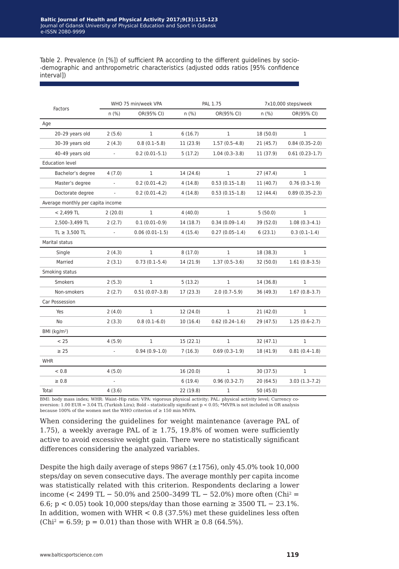Table 2. Prevalence (n [%]) of sufficient PA according to the different guidelines by socio- -demographic and anthropometric characteristics (adjusted odds ratios [95% confidence interval])

|                                   | WHO 75 min/week VPA |                    | PAL 1.75  |                  | 7x10,000 steps/week |                   |
|-----------------------------------|---------------------|--------------------|-----------|------------------|---------------------|-------------------|
| Factors                           | n(%)                | OR(95% CI)         | n(%)      | OR(95% CI)       | n(%)                | OR(95% CI)        |
| Age                               |                     |                    |           |                  |                     |                   |
| 20-29 years old                   | 2(5.6)              | $\mathbf{1}$       | 6(16.7)   | $\mathbf{1}$     | 18(50.0)            | $\mathbf{1}$      |
| 30-39 years old                   | 2(4.3)              | $0.8(0.1-5.8)$     | 11(23.9)  | $1.57(0.5-4.8)$  | 21(45.7)            | $0.84(0.35-2.0)$  |
| 40-49 years old                   | ÷,                  | $0.2(0.01-5.1)$    | 5(17.2)   | $1.04(0.3-3.8)$  | 11 (37.9)           | $0.61(0.23-1.7)$  |
| <b>Education level</b>            |                     |                    |           |                  |                     |                   |
| Bachelor's degree                 | 4(7.0)              | $\mathbf{1}$       | 14 (24.6) | $\mathbf{1}$     | 27(47.4)            | $\mathbf{1}$      |
| Master's degree                   | ÷,                  | $0.2(0.01-4.2)$    | 4(14.8)   | $0.53(0.15-1.8)$ | 11 (40.7)           | $0.76(0.3-1.9)$   |
| Doctorate degree                  | ÷.                  | $0.2(0.01-4.2)$    | 4(14.8)   | $0.53(0.15-1.8)$ | 12 (44.4)           | $0.89(0.35-2.3)$  |
| Average monthly per capita income |                     |                    |           |                  |                     |                   |
| $< 2,499$ TL                      | 2(20.0)             | $\mathbf{1}$       | 4(40.0)   | $\mathbf{1}$     | 5(50.0)             | $\mathbf{1}$      |
| 2,500-3,499 TL                    | 2(2.7)              | $0.1(0.01-0.9)$    | 14 (18.7) | $0.34(0.09-1.4)$ | 39 (52.0)           | $1.08(0.3-4.1)$   |
| $TL \geq 3,500 TL$                | ÷,                  | $0.06(0.01-1.5)$   | 4(15.4)   | $0.27(0.05-1.4)$ | 6(23.1)             | $0.3(0.1-1.4)$    |
| Marital status                    |                     |                    |           |                  |                     |                   |
| Single                            | 2(4.3)              | $\mathbf{1}$       | 8(17.0)   | $\mathbf{1}$     | 18 (38.3)           | 1                 |
| Married                           | 2(3.1)              | $0.73(0.1-5.4)$    | 14 (21.9) | $1.37(0.5-3.6)$  | 32 (50.0)           | $1.61(0.8-3.5)$   |
| Smoking status                    |                     |                    |           |                  |                     |                   |
| <b>Smokers</b>                    | 2(5.3)              | $\mathbf{1}$       | 5(13.2)   | $\mathbf{1}$     | 14 (36.8)           | $\mathbf{1}$      |
| Non-smokers                       | 2(2.7)              | $0.51(0.07 - 3.8)$ | 17 (23.3) | $2.0(0.7-5.9)$   | 36 (49.3)           | $1.67(0.8-3.7)$   |
| Car Possession                    |                     |                    |           |                  |                     |                   |
| Yes                               | 2(4.0)              | $\mathbf{1}$       | 12 (24.0) | $\mathbf{1}$     | 21(42.0)            | $\mathbf{1}$      |
| No                                | 2(3.3)              | $0.8(0.1-6.0)$     | 10(16.4)  | $0.62(0.24-1.6)$ | 29 (47.5)           | $1.25(0.6-2.7)$   |
| BMI (kg/m <sup>2</sup> )          |                     |                    |           |                  |                     |                   |
| < 25                              | 4(5.9)              | $\mathbf{1}$       | 15(22.1)  | $\mathbf{1}$     | 32(47.1)            | $\mathbf{1}$      |
| $\geq$ 25                         |                     | $0.94(0.9-1.0)$    | 7(16.3)   | $0.69(0.3-1.9)$  | 18 (41.9)           | $0.81(0.4-1.8)$   |
| <b>WHR</b>                        |                     |                    |           |                  |                     |                   |
| < 0.8                             | 4(5.0)              |                    | 16(20.0)  | $\mathbf{1}$     | 30 (37.5)           | $\mathbf{1}$      |
| $\geq 0.8$                        |                     |                    | 6(19.4)   | $0.96(0.3-2.7)$  | 20(64.5)            | $3.03(1.3 - 7.2)$ |
| Total                             | 4(3.6)              |                    | 22 (19.8) | 1                | 50 (45.0)           |                   |

BMI: body mass index; WHR: Waist–Hip ratio; VPA: vigorous physical activity; PAL: physical activity level; Currency conversion: 1.00 EUR = 3.04 TL (Turkish Lira); Bold – statistically significant p < 0.05; \*MVPA is not included in OR analysis because 100% of the women met the WHO criterion of  $\geq 150$  min MVPA.

When considering the guidelines for weight maintenance (average PAL of 1.75), a weekly average PAL of  $\geq$  1.75, 19.8% of women were sufficiently active to avoid excessive weight gain. There were no statistically significant differences considering the analyzed variables.

Despite the high daily average of steps  $9867 \ (\pm 1756)$ , only  $45.0\%$  took  $10,000$ steps/day on seven consecutive days. The average monthly per capita income was statistically related with this criterion. Respondents declaring a lower income (< 2499 TL − 50.0% and 2500-3499 TL − 52.0%) more often (Chi<sup>2</sup> = 6.6; p < 0.05) took 10,000 steps/day than those earning ≥ 3500 TL  $-$  23.1%. In addition, women with WHR < 0.8 (37.5%) met these guidelines less often  $(Chi^2 = 6.59; p = 0.01)$  than those with WHR  $\ge 0.8$  (64.5%).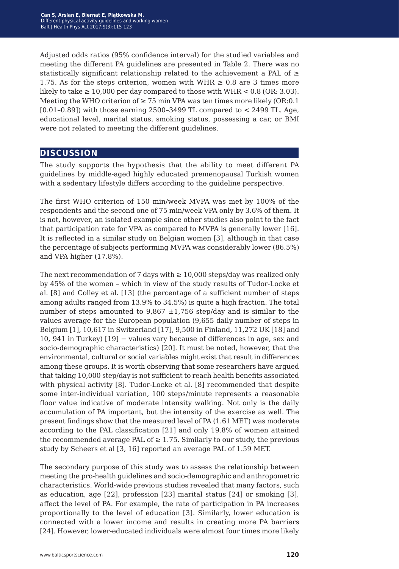Adjusted odds ratios (95% confidence interval) for the studied variables and meeting the different PA guidelines are presented in Table 2. There was no statistically significant relationship related to the achievement a PAL of  $\geq$ 1.75. As for the steps criterion, women with WHR  $\geq 0.8$  are 3 times more likely to take  $\geq 10,000$  per day compared to those with WHR < 0.8 (OR: 3.03). Meeting the WHO criterion of  $\geq$  75 min VPA was ten times more likely (OR:0.1)  $[0.01-0.89]$ ) with those earning 2500-3499 TL compared to  $\lt$  2499 TL. Age, educational level, marital status, smoking status, possessing a car, or BMI were not related to meeting the different guidelines.

#### **discussion**

The study supports the hypothesis that the ability to meet different PA guidelines by middle-aged highly educated premenopausal Turkish women with a sedentary lifestyle differs according to the guideline perspective.

The first WHO criterion of 150 min/week MVPA was met by 100% of the respondents and the second one of 75 min/week VPA only by 3.6% of them. It is not, however, an isolated example since other studies also point to the fact that participation rate for VPA as compared to MVPA is generally lower [16]. It is reflected in a similar study on Belgian women [3], although in that case the percentage of subjects performing MVPA was considerably lower (86.5%) and VPA higher (17.8%).

The next recommendation of 7 days with  $\geq 10,000$  steps/day was realized only by 45% of the women – which in view of the study results of Tudor-Locke et al. [8] and Colley et al. [13] (the percentage of a sufficient number of steps among adults ranged from 13.9% to 34.5%) is quite a high fraction. The total number of steps amounted to  $9,867 \pm 1,756$  step/day and is similar to the values average for the European population (9,655 daily number of steps in Belgium [1], 10,617 in Switzerland [17], 9,500 in Finland, 11,272 UK [18] and 10, 941 in Turkey) [19] − values vary because of differences in age, sex and socio-demographic characteristics) [20]. It must be noted, however, that the environmental, cultural or social variables might exist that result in differences among these groups. It is worth observing that some researchers have argued that taking 10,000 step/day is not sufficient to reach health benefits associated with physical activity [8]. Tudor-Locke et al. [8] recommended that despite some inter-individual variation, 100 steps/minute represents a reasonable floor value indicative of moderate intensity walking. Not only is the daily accumulation of PA important, but the intensity of the exercise as well. The present findings show that the measured level of PA (1.61 MET) was moderate according to the PAL classification [21] and only 19.8% of women attained the recommended average PAL of  $\geq 1.75$ . Similarly to our study, the previous study by Scheers et al [3, 16] reported an average PAL of 1.59 MET.

The secondary purpose of this study was to assess the relationship between meeting the pro-health guidelines and socio-demographic and anthropometric characteristics. World-wide previous studies revealed that many factors, such as education, age [22], profession [23] marital status [24] or smoking [3], affect the level of PA. For example, the rate of participation in PA increases proportionally to the level of education [3]. Similarly, lower education is connected with a lower income and results in creating more PA barriers [24]. However, lower-educated individuals were almost four times more likely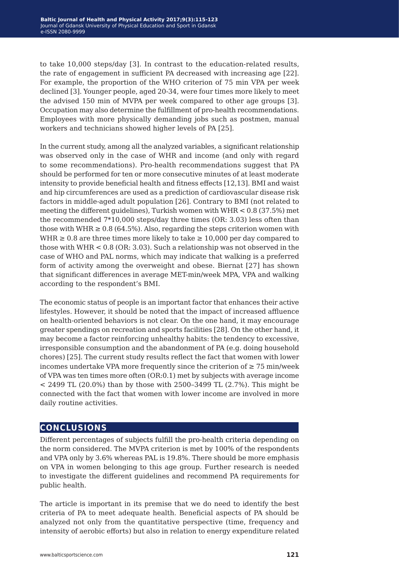to take 10,000 steps/day [3]. In contrast to the education-related results, the rate of engagement in sufficient PA decreased with increasing age [22]. For example, the proportion of the WHO criterion of 75 min VPA per week declined [3]. Younger people, aged 20-34, were four times more likely to meet the advised 150 min of MVPA per week compared to other age groups [3]. Occupation may also determine the fulfillment of pro-health recommendations. Employees with more physically demanding jobs such as postmen, manual workers and technicians showed higher levels of PA [25].

In the current study, among all the analyzed variables, a significant relationship was observed only in the case of WHR and income (and only with regard to some recommendations). Pro-health recommendations suggest that PA should be performed for ten or more consecutive minutes of at least moderate intensity to provide beneficial health and fitness effects [12,13]. BMI and waist and hip circumferences are used as a prediction of cardiovascular disease risk factors in middle-aged adult population [26]. Contrary to BMI (not related to meeting the different guidelines), Turkish women with WHR < 0.8 (37.5%) met the recommended 7\*10,000 steps/day three times (OR: 3.03) less often than those with WHR  $\geq 0.8$  (64.5%). Also, regarding the steps criterion women with WHR  $\geq 0.8$  are three times more likely to take  $\geq 10,000$  per day compared to those with WHR < 0.8 (OR: 3.03). Such a relationship was not observed in the case of WHO and PAL norms, which may indicate that walking is a preferred form of activity among the overweight and obese. Biernat [27] has shown that significant differences in average MET-min/week MPA, VPA and walking according to the respondent's BMI.

The economic status of people is an important factor that enhances their active lifestyles. However, it should be noted that the impact of increased affluence on health-oriented behaviors is not clear. On the one hand, it may encourage greater spendings on recreation and sports facilities [28]. On the other hand, it may become a factor reinforcing unhealthy habits: the tendency to excessive, irresponsible consumption and the abandonment of PA (e.g. doing household chores) [25]. The current study results reflect the fact that women with lower incomes undertake VPA more frequently since the criterion of  $\geq 75$  min/week of VPA was ten times more often (OR:0.1) met by subjects with average income < 2499 TL (20.0%) than by those with 2500–3499 TL (2.7%). This might be connected with the fact that women with lower income are involved in more daily routine activities.

## **conclusions**

Different percentages of subjects fulfill the pro-health criteria depending on the norm considered. The MVPA criterion is met by 100% of the respondents and VPA only by 3.6% whereas PAL is 19.8%. There should be more emphasis on VPA in women belonging to this age group. Further research is needed to investigate the different guidelines and recommend PA requirements for public health.

The article is important in its premise that we do need to identify the best criteria of PA to meet adequate health. Beneficial aspects of PA should be analyzed not only from the quantitative perspective (time, frequency and intensity of aerobic efforts) but also in relation to energy expenditure related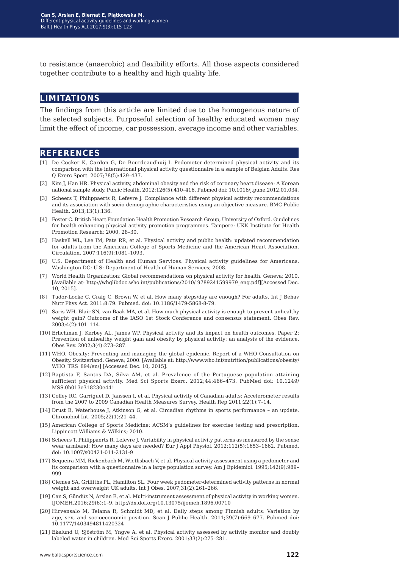to resistance (anaerobic) and flexibility efforts. All those aspects considered together contribute to a healthy and high quality life.

#### **limitations**

The findings from this article are limited due to the homogenous nature of the selected subjects. Purposeful selection of healthy educated women may limit the effect of income, car possession, average income and other variables.

#### **references**

- [1] De Cocker K, Cardon G, De Bourdeaudhuij I. Pedometer-determined physical activity and its comparison with the international physical activity questionnaire in a sample of Belgian Adults. Res Q Exerc Sport. 2007;78(5):429–437.
- [2] Kim J, Han HR. Physical activity, abdominal obesity and the risk of coronary heart disease: A Korean national sample study. Public Health. 2012;126(5):410–416. Pubmed doi: 10.1016/j.puhe.2012.01.034.
- [3] Scheers T, Philippaerts R, Lefevre J. Compliance with different physical activity recommendations and its association with socio-demographic characteristics using an objective measure. BMC Public Health. 2013;13(1):136.
- [4] Foster C. British Heart Foundation Health Promotion Research Group, University of Oxford. Guidelines for health-enhancing physical activity promotion programmes. Tampere: UKK Institute for Health Promotion Research; 2000, 28–30.
- [5] Haskell WL, Lee IM, Pate RR, et al. Physical activity and public health: updated recommendation for adults from the American College of Sports Medicine and the American Heart Association. Circulation. 2007;116(9):1081–1093.
- [6] U.S. Department of Health and Human Services. Physical activity guidelines for Americans. Washington DC: U.S: Department of Health of Human Services; 2008.
- [7] World Health Organization: Global recommendations on physical activity for health. Geneva; 2010. [Available at: http://whqlibdoc.who.int/publications/2010/ 9789241599979\_eng.pdf][Accessed Dec. 10, 2015].
- [8] Tudor-Locke C, Craig C, Brown W, et al. How many steps/day are enough? For adults. Int J Behav Nutr Phys Act. 2011;8:79. Pubmed. doi: 10.1186/1479-5868-8-79.
- [9] Saris WH, Blair SN, van Baak MA, et al. How much physical activity is enough to prevent unhealthy weight gain? Outcome of the IASO 1st Stock Conference and consensus statement. Obes Rev. 2003;4(2):101–114.
- [10] Erlichman J, Kerbey AL, James WP. Physical activity and its impact on health outcomes. Paper 2: Prevention of unhealthy weight gain and obesity by physical activity: an analysis of the evidence. Obes Rev. 2002;3(4):273–287.
- [11] WHO. Obesity: Preventing and managing the global epidemic. Report of a WHO Consultation on Obesity. Switzerland, Geneva; 2000. [Available at: http://www.who.int/nutrition/publications/obesity/ WHO\_TRS\_894/en/] [Accessed Dec. 10, 2015].
- [12] Baptista F, Santos DA, Silva AM, et al. Prevalence of the Portuguese population attaining sufficient physical activity. Med Sci Sports Exerc. 2012;44:466–473. PubMed doi: 10.1249/ MSS.0b013e318230e441
- [13] Colley RC, Garriguet D, Janssen I, et al. Physical activity of Canadian adults: Accelerometer results from the 2007 to 2009 Canadian Health Measures Survey. Health Rep 2011;22(1):7–14.
- [14] Drust B, Waterhouse J, Atkinson G, et al. Circadian rhythms in sports performance an update. Chronobiol Int. 2005;22(1):21–44.
- [15] American College of Sports Medicine: ACSM's guidelines for exercise testing and prescription. Lippincott Williams & Wilkins; 2010.
- [16] Scheers T, Philippaerts R, Lefevre J. Variability in physical activity patterns as measured by the sense wear armband: How many days are needed? Eur J Appl Physiol. 2012;112(5):1653–1662. Pubmed. doi: 10.1007/s00421-011-2131-9
- [17] Sequeira MM, Rickenbach M, Wietlisbach V, et al. Physical activity assessment using a pedometer and its comparison with a questionnaire in a large population survey. Am J Epidemiol. 1995;142(9):989– 999.
- [18] Clemes SA, Griffiths PL, Hamilton SL. Four week pedometer-determined activity patterns in normal weight and overweight UK adults. Int J Obes. 2007;31(2):261–266.
- [19] Can S, Gündüz N, Arslan E, et al. Multi-instrument assessment of physical activity in working women. IJOMEH.2016;29(6):1–9. http://dx.doi.org/10.13075/ijomeh.1896.00710
- [20] Hirvensalo M, Telama R, Schmidt MD, et al. Daily steps among Finnish adults: Variation by age, sex, and socioeconomic position. Scan J Public Health. 2011;39(7):669–677. Pubmed doi: 10.1177/1403494811420324
- [21] Ekelund U, Sjöström M, Yngve A, et al. Physical activity assessed by activity monitor and doubly labeled water in children. Med Sci Sports Exerc. 2001;33(2):275–281.